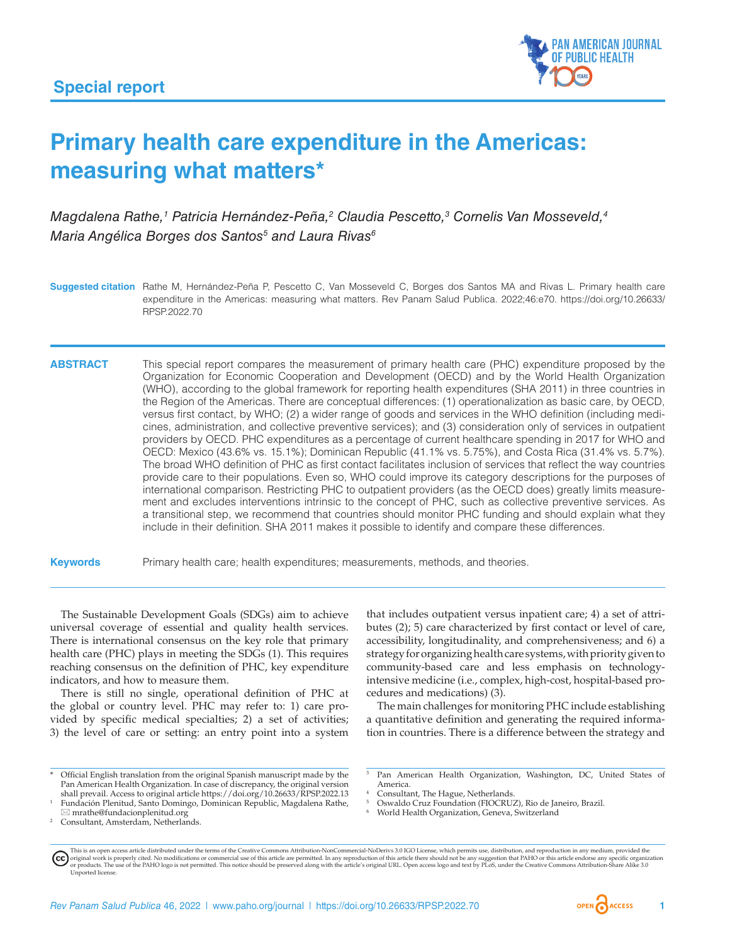

# **Primary health care expenditure in the Americas: measuring what matters\***

Magdalena Rathe,<sup>1</sup> Patricia Hernández-Peña,<sup>2</sup> Claudia Pescetto,<sup>3</sup> Cornelis Van Mosseveld,<sup>4</sup> *Maria Angélica Borges dos Santos5 and Laura Rivas6*

**Suggested citation** Rathe M, Hernández-Peña P, Pescetto C, Van Mosseveld C, Borges dos Santos MA and Rivas L. Primary health care expenditure in the Americas: measuring what matters. Rev Panam Salud Publica. 2022;46:e70. [https://doi.org/10.26633/](https://doi.org/10.26633/RPSP.2022.70) [RPSP.2022.70](https://doi.org/10.26633/RPSP.2022.70)

**ABSTRACT** This special report compares the measurement of primary health care (PHC) expenditure proposed by the Organization for Economic Cooperation and Development (OECD) and by the World Health Organization (WHO), according to the global framework for reporting health expenditures (SHA 2011) in three countries in the Region of the Americas. There are conceptual differences: (1) operationalization as basic care, by OECD, versus first contact, by WHO; (2) a wider range of goods and services in the WHO definition (including medicines, administration, and collective preventive services); and (3) consideration only of services in outpatient providers by OECD. PHC expenditures as a percentage of current healthcare spending in 2017 for WHO and OECD: Mexico (43.6% vs. 15.1%); Dominican Republic (41.1% vs. 5.75%), and Costa Rica (31.4% vs. 5.7%). The broad WHO definition of PHC as first contact facilitates inclusion of services that reflect the way countries provide care to their populations. Even so, WHO could improve its category descriptions for the purposes of international comparison. Restricting PHC to outpatient providers (as the OECD does) greatly limits measurement and excludes interventions intrinsic to the concept of PHC, such as collective preventive services. As a transitional step, we recommend that countries should monitor PHC funding and should explain what they include in their definition. SHA 2011 makes it possible to identify and compare these differences.

**Keywords** Primary health care; health expenditures; measurements, methods, and theories.

The Sustainable Development Goals (SDGs) aim to achieve universal coverage of essential and quality health services. There is international consensus on the key role that primary health care (PHC) plays in meeting the SDGs (1). This requires reaching consensus on the definition of PHC, key expenditure indicators, and how to measure them.

There is still no single, operational definition of PHC at the global or country level. PHC may refer to: 1) care provided by specific medical specialties; 2) a set of activities; 3) the level of care or setting: an entry point into a system

that includes outpatient versus inpatient care; 4) a set of attributes (2); 5) care characterized by first contact or level of care, accessibility, longitudinality, and comprehensiveness; and 6) a strategy for organizing health care systems, with priority given to community-based care and less emphasis on technologyintensive medicine (i.e., complex, high-cost, hospital-based procedures and medications) (3).

The main challenges for monitoring PHC include establishing a quantitative definition and generating the required information in countries. There is a difference between the strategy and

<sup>1</sup> Fundación Plenitud, Santo Domingo, Dominican Republic, Magdalena Rathe,  $\boxtimes$  [mrathe@fundacionplenitud.org](mailto:mrathe@fundacionplenitud.org)

- <sup>5</sup> Oswaldo Cruz Foundation (FIOCRUZ), Rio de Janeiro, Brazil.
- <sup>6</sup> World Health Organization, Geneva, Switzerland



<sup>\*</sup> Official English translation from the original Spanish manuscript made by the Pan American Health Organization. In case of discrepancy, the original version shall prevail. Access to original article<https://doi.org/10.26633/RPSP.2022.13>

Consultant, Amsterdam, Netherlands.

Pan American Health Organization, Washington, DC, United States of America.

Consultant, The Hague, Netherlands.

This is an open access article distributed under the terms of the [Creative Commons Attribution-NonCommercial-NoDerivs 3.0 IGO](https://creativecommons.org/licenses/by-nc-nd/3.0/igo/legalcode) License, which permits use, distribution, and reproduction in any medium, provided the original work is properly cited. No modifications or commercial use of this article are permitted. In any reproduction of this article there should not be any suggestion that PAHO or this article endorse any specific organ [Unported](https://creativecommons.org/licenses/by-sa/3.0/deed.en) license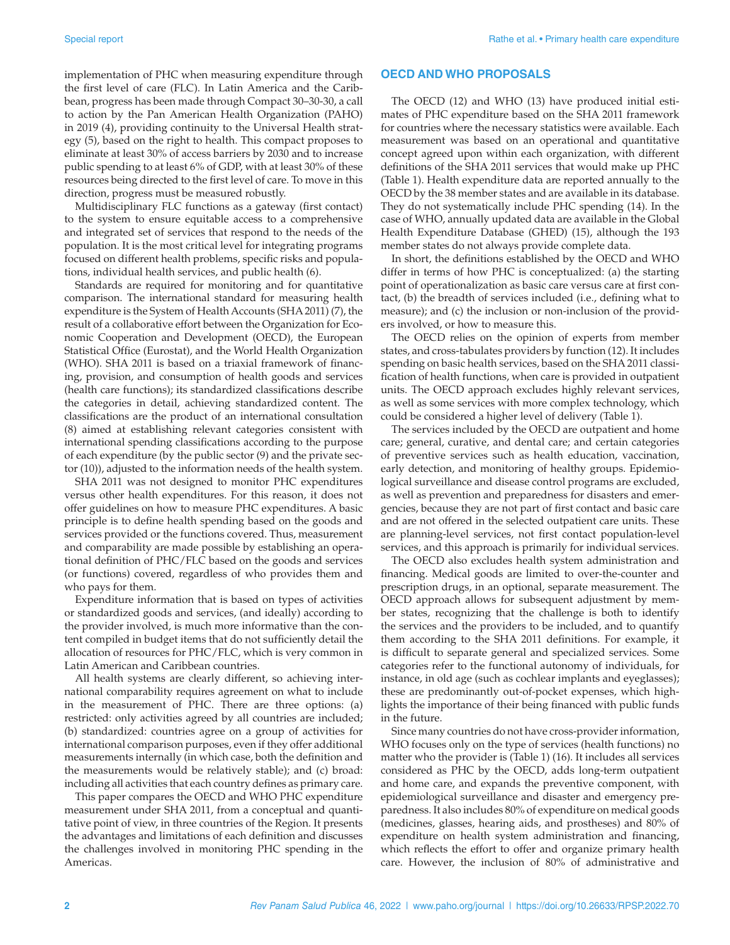implementation of PHC when measuring expenditure through the first level of care (FLC). In Latin America and the Caribbean, progress has been made through Compact 30–30-30, a call to action by the Pan American Health Organization (PAHO) in 2019 (4), providing continuity to the Universal Health strategy (5), based on the right to health. This compact proposes to eliminate at least 30% of access barriers by 2030 and to increase public spending to at least 6% of GDP, with at least 30% of these resources being directed to the first level of care. To move in this direction, progress must be measured robustly.

Multidisciplinary FLC functions as a gateway (first contact) to the system to ensure equitable access to a comprehensive and integrated set of services that respond to the needs of the population. It is the most critical level for integrating programs focused on different health problems, specific risks and populations, individual health services, and public health (6).

Standards are required for monitoring and for quantitative comparison. The international standard for measuring health expenditure is the System of Health Accounts (SHA 2011) (7), the result of a collaborative effort between the Organization for Economic Cooperation and Development (OECD), the European Statistical Office (Eurostat), and the World Health Organization (WHO). SHA 2011 is based on a triaxial framework of financing, provision, and consumption of health goods and services (health care functions); its standardized classifications describe the categories in detail, achieving standardized content. The classifications are the product of an international consultation (8) aimed at establishing relevant categories consistent with international spending classifications according to the purpose of each expenditure (by the public sector (9) and the private sector (10)), adjusted to the information needs of the health system.

SHA 2011 was not designed to monitor PHC expenditures versus other health expenditures. For this reason, it does not offer guidelines on how to measure PHC expenditures. A basic principle is to define health spending based on the goods and services provided or the functions covered. Thus, measurement and comparability are made possible by establishing an operational definition of PHC/FLC based on the goods and services (or functions) covered, regardless of who provides them and who pays for them.

Expenditure information that is based on types of activities or standardized goods and services, (and ideally) according to the provider involved, is much more informative than the content compiled in budget items that do not sufficiently detail the allocation of resources for PHC/FLC, which is very common in Latin American and Caribbean countries.

All health systems are clearly different, so achieving international comparability requires agreement on what to include in the measurement of PHC. There are three options: (a) restricted: only activities agreed by all countries are included; (b) standardized: countries agree on a group of activities for international comparison purposes, even if they offer additional measurements internally (in which case, both the definition and the measurements would be relatively stable); and (c) broad: including all activities that each country defines as primary care.

This paper compares the OECD and WHO PHC expenditure measurement under SHA 2011, from a conceptual and quantitative point of view, in three countries of the Region. It presents the advantages and limitations of each definition and discusses the challenges involved in monitoring PHC spending in the Americas.

## **OECD AND WHO PROPOSALS**

The OECD (12) and WHO (13) have produced initial estimates of PHC expenditure based on the SHA 2011 framework for countries where the necessary statistics were available. Each measurement was based on an operational and quantitative concept agreed upon within each organization, with different definitions of the SHA 2011 services that would make up PHC (Table 1). Health expenditure data are reported annually to the OECD by the 38 member states and are available in its database. They do not systematically include PHC spending (14). In the case of WHO, annually updated data are available in the Global Health Expenditure Database (GHED) (15), although the 193 member states do not always provide complete data.

In short, the definitions established by the OECD and WHO differ in terms of how PHC is conceptualized: (a) the starting point of operationalization as basic care versus care at first contact, (b) the breadth of services included (i.e., defining what to measure); and (c) the inclusion or non-inclusion of the providers involved, or how to measure this.

The OECD relies on the opinion of experts from member states, and cross-tabulates providers by function (12). It includes spending on basic health services, based on the SHA 2011 classification of health functions, when care is provided in outpatient units. The OECD approach excludes highly relevant services, as well as some services with more complex technology, which could be considered a higher level of delivery (Table 1).

The services included by the OECD are outpatient and home care; general, curative, and dental care; and certain categories of preventive services such as health education, vaccination, early detection, and monitoring of healthy groups. Epidemiological surveillance and disease control programs are excluded, as well as prevention and preparedness for disasters and emergencies, because they are not part of first contact and basic care and are not offered in the selected outpatient care units. These are planning-level services, not first contact population-level services, and this approach is primarily for individual services.

The OECD also excludes health system administration and financing. Medical goods are limited to over-the-counter and prescription drugs, in an optional, separate measurement. The OECD approach allows for subsequent adjustment by member states, recognizing that the challenge is both to identify the services and the providers to be included, and to quantify them according to the SHA 2011 definitions. For example, it is difficult to separate general and specialized services. Some categories refer to the functional autonomy of individuals, for instance, in old age (such as cochlear implants and eyeglasses); these are predominantly out-of-pocket expenses, which highlights the importance of their being financed with public funds in the future.

Since many countries do not have cross-provider information, WHO focuses only on the type of services (health functions) no matter who the provider is (Table 1) (16). It includes all services considered as PHC by the OECD, adds long-term outpatient and home care, and expands the preventive component, with epidemiological surveillance and disaster and emergency preparedness. It also includes 80% of expenditure on medical goods (medicines, glasses, hearing aids, and prostheses) and 80% of expenditure on health system administration and financing, which reflects the effort to offer and organize primary health care. However, the inclusion of 80% of administrative and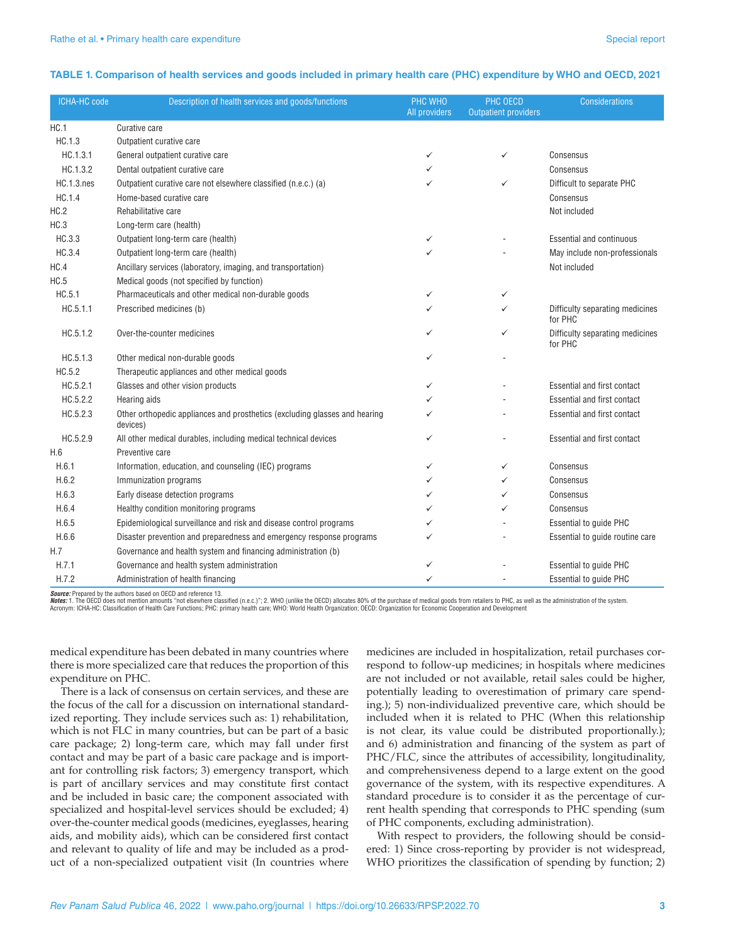#### **TABLE 1. Comparison of health services and goods included in primary health care (PHC) expenditure by WHO and OECD, 2021**

| <b>ICHA-HC code</b> | Description of health services and goods/functions                                     | PHC WHO<br>All providers | PHC OECD<br><b>Outpatient providers</b> | <b>Considerations</b>                      |
|---------------------|----------------------------------------------------------------------------------------|--------------------------|-----------------------------------------|--------------------------------------------|
| HC.1                | Curative care                                                                          |                          |                                         |                                            |
| HC.1.3              | Outpatient curative care                                                               |                          |                                         |                                            |
| HC.1.3.1            | General outpatient curative care                                                       | ✓                        | ✓                                       | Consensus                                  |
| HC.1.3.2            | Dental outpatient curative care                                                        | ✓                        |                                         | Consensus                                  |
| <b>HC.1.3.nes</b>   | Outpatient curative care not elsewhere classified (n.e.c.) (a)                         | $\checkmark$             | ✓                                       | Difficult to separate PHC                  |
| HC.1.4              | Home-based curative care                                                               |                          |                                         | Consensus                                  |
| HC.2                | Rehabilitative care                                                                    |                          |                                         | Not included                               |
| HC.3                | Long-term care (health)                                                                |                          |                                         |                                            |
| HC.3.3              | Outpatient long-term care (health)                                                     | $\checkmark$             |                                         | <b>Essential and continuous</b>            |
| HC.3.4              | Outpatient long-term care (health)                                                     | ✓                        |                                         | May include non-professionals              |
| HC.4                | Ancillary services (laboratory, imaging, and transportation)                           |                          |                                         | Not included                               |
| HC.5                | Medical goods (not specified by function)                                              |                          |                                         |                                            |
| HC.5.1              | Pharmaceuticals and other medical non-durable goods                                    | ✓                        | ✓                                       |                                            |
| HC.5.1.1            | Prescribed medicines (b)                                                               | ✓                        | $\checkmark$                            | Difficulty separating medicines<br>for PHC |
| HC.5.1.2            | Over-the-counter medicines                                                             | ✓                        | ✓                                       | Difficulty separating medicines<br>for PHC |
| HC.5.1.3            | Other medical non-durable goods                                                        | ✓                        |                                         |                                            |
| HC.5.2              | Therapeutic appliances and other medical goods                                         |                          |                                         |                                            |
| HC.5.2.1            | Glasses and other vision products                                                      | $\checkmark$             |                                         | Essential and first contact                |
| HC.5.2.2            | Hearing aids                                                                           | ✓                        |                                         | Essential and first contact                |
| HC.5.2.3            | Other orthopedic appliances and prosthetics (excluding glasses and hearing<br>devices) | ✓                        |                                         | Essential and first contact                |
| HC.5.2.9            | All other medical durables, including medical technical devices                        | ✓                        |                                         | Essential and first contact                |
| H.6                 | Preventive care                                                                        |                          |                                         |                                            |
| H.6.1               | Information, education, and counseling (IEC) programs                                  | ✓                        | ✓                                       | Consensus                                  |
| H.6.2               | Immunization programs                                                                  | ✓                        | ✓                                       | Consensus                                  |
| H.6.3               | Early disease detection programs                                                       | ✓                        | ✓                                       | Consensus                                  |
| H.6.4               | Healthy condition monitoring programs                                                  | ✓                        | ✓                                       | Consensus                                  |
| H.6.5               | Epidemiological surveillance and risk and disease control programs                     | ✓                        |                                         | <b>Essential to guide PHC</b>              |
| H.6.6               | Disaster prevention and preparedness and emergency response programs                   | ✓                        |                                         | Essential to guide routine care            |
| H.7                 | Governance and health system and financing administration (b)                          |                          |                                         |                                            |
| H.7.1               | Governance and health system administration                                            | ✓                        |                                         | <b>Essential to guide PHC</b>              |
| H.7.2               | Administration of health financing                                                     | ✓                        |                                         | <b>Essential to quide PHC</b>              |

*Source:* Prepared by the authors based on OECD and reference 13.

**Notes:** 1. The OECD does not mention amounts "not elsewhere classified (n.e.c.)"; 2. WHO (unlike the OECD) allocates 80% of the purchase of medical goods from retailers to PHC, as well as the administration of the system.

medical expenditure has been debated in many countries where there is more specialized care that reduces the proportion of this expenditure on PHC.

There is a lack of consensus on certain services, and these are the focus of the call for a discussion on international standardized reporting. They include services such as: 1) rehabilitation, which is not FLC in many countries, but can be part of a basic care package; 2) long-term care, which may fall under first contact and may be part of a basic care package and is important for controlling risk factors; 3) emergency transport, which is part of ancillary services and may constitute first contact and be included in basic care; the component associated with specialized and hospital-level services should be excluded; 4) over-the-counter medical goods (medicines, eyeglasses, hearing aids, and mobility aids), which can be considered first contact and relevant to quality of life and may be included as a product of a non-specialized outpatient visit (In countries where

medicines are included in hospitalization, retail purchases correspond to follow-up medicines; in hospitals where medicines are not included or not available, retail sales could be higher, potentially leading to overestimation of primary care spending.); 5) non-individualized preventive care, which should be included when it is related to PHC (When this relationship is not clear, its value could be distributed proportionally.); and 6) administration and financing of the system as part of PHC/FLC, since the attributes of accessibility, longitudinality, and comprehensiveness depend to a large extent on the good governance of the system, with its respective expenditures. A standard procedure is to consider it as the percentage of current health spending that corresponds to PHC spending (sum of PHC components, excluding administration).

With respect to providers, the following should be considered: 1) Since cross-reporting by provider is not widespread, WHO prioritizes the classification of spending by function; 2)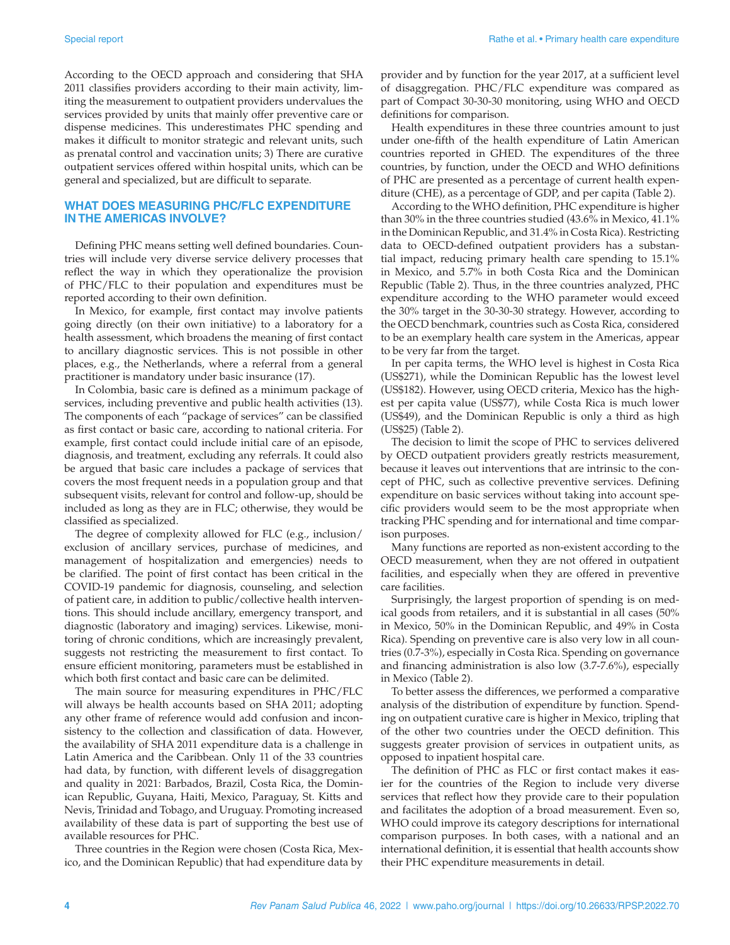According to the OECD approach and considering that SHA 2011 classifies providers according to their main activity, limiting the measurement to outpatient providers undervalues the services provided by units that mainly offer preventive care or dispense medicines. This underestimates PHC spending and makes it difficult to monitor strategic and relevant units, such as prenatal control and vaccination units; 3) There are curative outpatient services offered within hospital units, which can be general and specialized, but are difficult to separate.

## **WHAT DOES MEASURING PHC/FLC EXPENDITURE IN THE AMERICAS INVOLVE?**

Defining PHC means setting well defined boundaries. Countries will include very diverse service delivery processes that reflect the way in which they operationalize the provision of PHC/FLC to their population and expenditures must be reported according to their own definition.

In Mexico, for example, first contact may involve patients going directly (on their own initiative) to a laboratory for a health assessment, which broadens the meaning of first contact to ancillary diagnostic services. This is not possible in other places, e.g., the Netherlands, where a referral from a general practitioner is mandatory under basic insurance (17).

In Colombia, basic care is defined as a minimum package of services, including preventive and public health activities (13). The components of each "package of services" can be classified as first contact or basic care, according to national criteria. For example, first contact could include initial care of an episode, diagnosis, and treatment, excluding any referrals. It could also be argued that basic care includes a package of services that covers the most frequent needs in a population group and that subsequent visits, relevant for control and follow-up, should be included as long as they are in FLC; otherwise, they would be classified as specialized.

The degree of complexity allowed for FLC (e.g., inclusion/ exclusion of ancillary services, purchase of medicines, and management of hospitalization and emergencies) needs to be clarified. The point of first contact has been critical in the COVID-19 pandemic for diagnosis, counseling, and selection of patient care, in addition to public/collective health interventions. This should include ancillary, emergency transport, and diagnostic (laboratory and imaging) services. Likewise, monitoring of chronic conditions, which are increasingly prevalent, suggests not restricting the measurement to first contact. To ensure efficient monitoring, parameters must be established in which both first contact and basic care can be delimited.

The main source for measuring expenditures in PHC/FLC will always be health accounts based on SHA 2011; adopting any other frame of reference would add confusion and inconsistency to the collection and classification of data. However, the availability of SHA 2011 expenditure data is a challenge in Latin America and the Caribbean. Only 11 of the 33 countries had data, by function, with different levels of disaggregation and quality in 2021: Barbados, Brazil, Costa Rica, the Dominican Republic, Guyana, Haiti, Mexico, Paraguay, St. Kitts and Nevis, Trinidad and Tobago, and Uruguay. Promoting increased availability of these data is part of supporting the best use of available resources for PHC.

Three countries in the Region were chosen (Costa Rica, Mexico, and the Dominican Republic) that had expenditure data by

provider and by function for the year 2017, at a sufficient level of disaggregation. PHC/FLC expenditure was compared as part of Compact 30-30-30 monitoring, using WHO and OECD definitions for comparison.

Health expenditures in these three countries amount to just under one-fifth of the health expenditure of Latin American countries reported in GHED. The expenditures of the three countries, by function, under the OECD and WHO definitions of PHC are presented as a percentage of current health expenditure (CHE), as a percentage of GDP, and per capita (Table 2).

According to the WHO definition, PHC expenditure is higher than 30% in the three countries studied (43.6% in Mexico, 41.1% in the Dominican Republic, and 31.4% in Costa Rica). Restricting data to OECD-defined outpatient providers has a substantial impact, reducing primary health care spending to 15.1% in Mexico, and 5.7% in both Costa Rica and the Dominican Republic (Table 2). Thus, in the three countries analyzed, PHC expenditure according to the WHO parameter would exceed the 30% target in the 30-30-30 strategy. However, according to the OECD benchmark, countries such as Costa Rica, considered to be an exemplary health care system in the Americas, appear to be very far from the target.

In per capita terms, the WHO level is highest in Costa Rica (US\$271), while the Dominican Republic has the lowest level (US\$182). However, using OECD criteria, Mexico has the highest per capita value (US\$77), while Costa Rica is much lower (US\$49), and the Dominican Republic is only a third as high (US\$25) (Table 2).

The decision to limit the scope of PHC to services delivered by OECD outpatient providers greatly restricts measurement, because it leaves out interventions that are intrinsic to the concept of PHC, such as collective preventive services. Defining expenditure on basic services without taking into account specific providers would seem to be the most appropriate when tracking PHC spending and for international and time comparison purposes.

Many functions are reported as non-existent according to the OECD measurement, when they are not offered in outpatient facilities, and especially when they are offered in preventive care facilities.

Surprisingly, the largest proportion of spending is on medical goods from retailers, and it is substantial in all cases (50% in Mexico, 50% in the Dominican Republic, and 49% in Costa Rica). Spending on preventive care is also very low in all countries (0.7-3%), especially in Costa Rica. Spending on governance and financing administration is also low (3.7-7.6%), especially in Mexico (Table 2).

To better assess the differences, we performed a comparative analysis of the distribution of expenditure by function. Spending on outpatient curative care is higher in Mexico, tripling that of the other two countries under the OECD definition. This suggests greater provision of services in outpatient units, as opposed to inpatient hospital care.

The definition of PHC as FLC or first contact makes it easier for the countries of the Region to include very diverse services that reflect how they provide care to their population and facilitates the adoption of a broad measurement. Even so, WHO could improve its category descriptions for international comparison purposes. In both cases, with a national and an international definition, it is essential that health accounts show their PHC expenditure measurements in detail.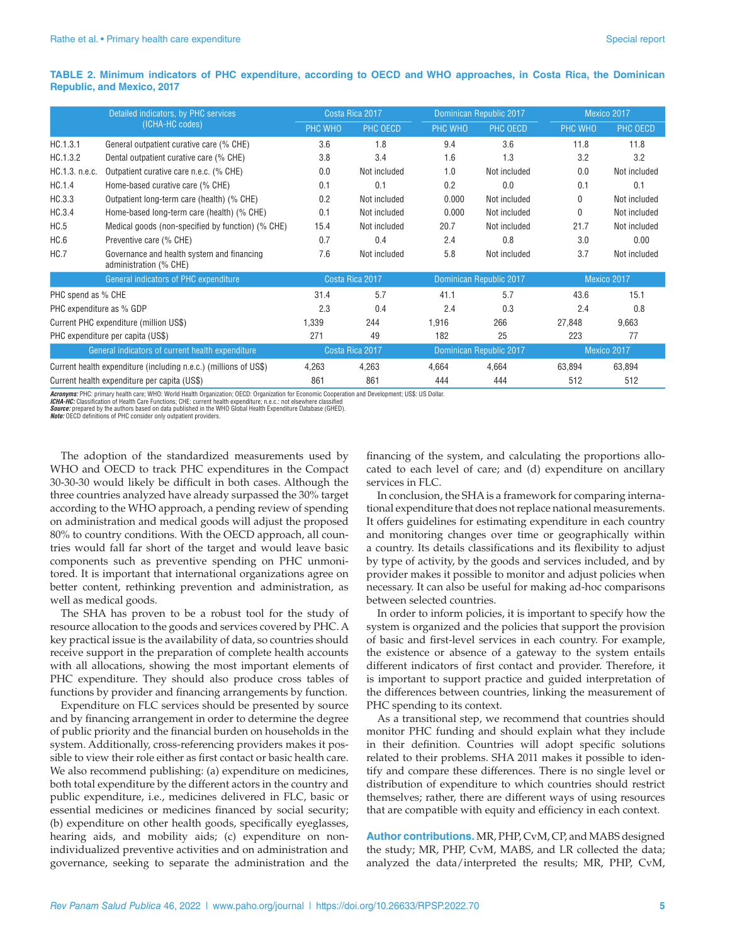#### **TABLE 2. Minimum indicators of PHC expenditure, according to OECD and WHO approaches, in Costa Rica, the Dominican Republic, and Mexico, 2017**

| Detailed indicators, by PHC services<br>(ICHA-HC codes)          |                                                                      | Costa Rica 2017                            |              | Dominican Republic 2017 |              | Mexico 2017 |              |
|------------------------------------------------------------------|----------------------------------------------------------------------|--------------------------------------------|--------------|-------------------------|--------------|-------------|--------------|
|                                                                  |                                                                      | PHC WHO                                    | PHC OECD     | PHC WHO                 | PHC OECD     | PHC WHO     | PHC OECD     |
| HC.1.3.1                                                         | General outpatient curative care (% CHE)                             | 3.6                                        | 1.8          | 9.4                     | 3.6          | 11.8        | 11.8         |
| HC.1.3.2                                                         | Dental outpatient curative care (% CHE)                              | 3.8                                        | 3.4          | 1.6                     | 1.3          | 3.2         | 3.2          |
| HC.1.3. n.e.c.                                                   | Outpatient curative care n.e.c. (% CHE)                              | 0.0                                        | Not included | 1.0                     | Not included | 0.0         | Not included |
| HC.1.4                                                           | Home-based curative care (% CHE)                                     | 0.1                                        | 0.1          | 0.2                     | 0.0          | 0.1         | 0.1          |
| HC.3.3                                                           | Outpatient long-term care (health) (% CHE)                           | 0.2                                        | Not included | 0.000                   | Not included | 0           | Not included |
| HC.3.4                                                           | Home-based long-term care (health) (% CHE)                           | 0.1                                        | Not included | 0.000                   | Not included | 0           | Not included |
| HC.5                                                             | Medical goods (non-specified by function) (% CHE)                    | 15.4                                       | Not included | 20.7                    | Not included | 21.7        | Not included |
| HC.6                                                             | Preventive care (% CHE)                                              | 0.7                                        | 0.4          | 2.4                     | 0.8          | 3.0         | 0.00         |
| HC.7                                                             | Governance and health system and financing<br>administration (% CHE) | 7.6                                        | Not included | 5.8                     | Not included | 3.7         | Not included |
|                                                                  | General indicators of PHC expenditure                                | Costa Rica 2017<br>Dominican Republic 2017 |              |                         | Mexico 2017  |             |              |
| PHC spend as % CHE                                               |                                                                      | 31.4                                       | 5.7          | 41.1                    | 5.7          | 43.6        | 15.1         |
| PHC expenditure as % GDP                                         |                                                                      | 2.3                                        | 0.4          | 2.4                     | 0.3          | 2.4         | 0.8          |
| Current PHC expenditure (million US\$)                           |                                                                      | 1,339                                      | 244          | 1,916                   | 266          | 27,848      | 9,663        |
| PHC expenditure per capita (US\$)                                |                                                                      | 271                                        | 49           | 182                     | 25           | 223         | 77           |
| General indicators of current health expenditure                 |                                                                      | Costa Rica 2017                            |              | Dominican Republic 2017 |              | Mexico 2017 |              |
| Current health expenditure (including n.e.c.) (millions of US\$) |                                                                      | 4.263                                      | 4.263        | 4.664                   | 4.664        | 63.894      | 63.894       |
| Current health expenditure per capita (US\$)                     |                                                                      | 861                                        | 861          | 444                     | 444          | 512         | 512          |

*Acronyms:* PHC: primary health care; WHO: World Health Organization; OECD: Organization for Economic Cooperation and Development; US\$: US Dollar.

**ICHA-HC:** Classification of Health Care Functions; CHE: current health expenditure; n.e.c.: not elsewhere classified<br>*Source:* prepared by the authors based on data published in the WHO Global Health Expenditure Database

The adoption of the standardized measurements used by WHO and OECD to track PHC expenditures in the Compact 30-30-30 would likely be difficult in both cases. Although the three countries analyzed have already surpassed the 30% target according to the WHO approach, a pending review of spending on administration and medical goods will adjust the proposed 80% to country conditions. With the OECD approach, all countries would fall far short of the target and would leave basic components such as preventive spending on PHC unmonitored. It is important that international organizations agree on better content, rethinking prevention and administration, as well as medical goods.

The SHA has proven to be a robust tool for the study of resource allocation to the goods and services covered by PHC. A key practical issue is the availability of data, so countries should receive support in the preparation of complete health accounts with all allocations, showing the most important elements of PHC expenditure. They should also produce cross tables of functions by provider and financing arrangements by function.

Expenditure on FLC services should be presented by source and by financing arrangement in order to determine the degree of public priority and the financial burden on households in the system. Additionally, cross-referencing providers makes it possible to view their role either as first contact or basic health care. We also recommend publishing: (a) expenditure on medicines, both total expenditure by the different actors in the country and public expenditure, i.e., medicines delivered in FLC, basic or essential medicines or medicines financed by social security; (b) expenditure on other health goods, specifically eyeglasses, hearing aids, and mobility aids; (c) expenditure on nonindividualized preventive activities and on administration and governance, seeking to separate the administration and the

financing of the system, and calculating the proportions allocated to each level of care; and (d) expenditure on ancillary services in FLC.

In conclusion, the SHA is a framework for comparing international expenditure that does not replace national measurements. It offers guidelines for estimating expenditure in each country and monitoring changes over time or geographically within a country. Its details classifications and its flexibility to adjust by type of activity, by the goods and services included, and by provider makes it possible to monitor and adjust policies when necessary. It can also be useful for making ad-hoc comparisons between selected countries.

In order to inform policies, it is important to specify how the system is organized and the policies that support the provision of basic and first-level services in each country. For example, the existence or absence of a gateway to the system entails different indicators of first contact and provider. Therefore, it is important to support practice and guided interpretation of the differences between countries, linking the measurement of PHC spending to its context.

As a transitional step, we recommend that countries should monitor PHC funding and should explain what they include in their definition. Countries will adopt specific solutions related to their problems. SHA 2011 makes it possible to identify and compare these differences. There is no single level or distribution of expenditure to which countries should restrict themselves; rather, there are different ways of using resources that are compatible with equity and efficiency in each context.

**Author contributions.** MR, PHP, CvM, CP, and MABS designed the study; MR, PHP, CvM, MABS, and LR collected the data; analyzed the data/interpreted the results; MR, PHP, CvM,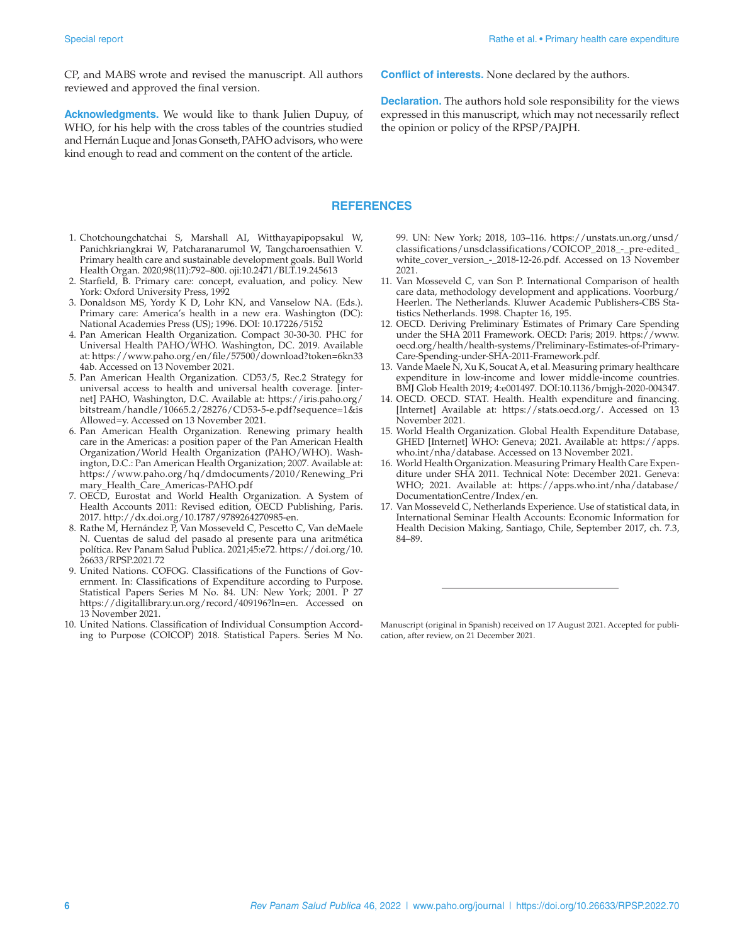CP, and MABS wrote and revised the manuscript. All authors reviewed and approved the final version.

**Acknowledgments.** We would like to thank Julien Dupuy, of WHO, for his help with the cross tables of the countries studied and Hernán Luque and Jonas Gonseth, PAHO advisors, who were kind enough to read and comment on the content of the article.

## **REFERENCES**

- 1. Chotchoungchatchai S, Marshall AI, Witthayapipopsakul W, Panichkriangkrai W, Patcharanarumol W, Tangcharoensathien V. Primary health care and sustainable development goals. Bull World Health Organ. 2020;98(11):792–800. oji:10.2471/BLT.19.245613
- 2. Starfield, B. Primary care: concept, evaluation, and policy. New York: Oxford University Press, 1992
- 3. Donaldson MS, Yordy K D, Lohr KN, and Vanselow NA. (Eds.). Primary care: America's health in a new era. Washington (DC): National Academies Press (US); 1996. DOI: 10.17226/5152
- 4. Pan American Health Organization. Compact 30-30-30. PHC for Universal Health PAHO/WHO. Washington, DC. 2019. Available at: [https://www.paho.org/en/file/57500/download?token=6kn33](https://www.paho.org/en/file/57500/download?token=6kn334ab) [4ab](https://www.paho.org/en/file/57500/download?token=6kn334ab). Accessed on 13 November 2021.
- 5. Pan American Health Organization. CD53/5, Rec.2 Strategy for universal access to health and universal health coverage. [internet] PAHO, Washington, D.C. Available at: [https://iris.paho.org/](https://iris.paho.org/bitstream/handle/10665.2/28276/CD53-5-e.pdf?sequence=1&isAllowed=y) [bitstream/handle/10665.2/28276/CD53-5-e.pdf?sequence=1&is](https://iris.paho.org/bitstream/handle/10665.2/28276/CD53-5-e.pdf?sequence=1&isAllowed=y) [Allowed=y](https://iris.paho.org/bitstream/handle/10665.2/28276/CD53-5-e.pdf?sequence=1&isAllowed=y). Accessed on 13 November 2021.
- 6. Pan American Health Organization. Renewing primary health care in the Americas: a position paper of the Pan American Health Organization/World Health Organization (PAHO/WHO). Washington, D.C.: Pan American Health Organization; 2007. Available at: [https://www.paho.org/hq/dmdocuments/2010/Renewing\\_Pri](https://www.paho.org/hq/dmdocuments/2010/Renewing_Primary_Health_Care_Americas-PAHO.pdf) [mary\\_Health\\_Care\\_Americas-PAHO.pdf](https://www.paho.org/hq/dmdocuments/2010/Renewing_Primary_Health_Care_Americas-PAHO.pdf)
- 7. OECD, Eurostat and World Health Organization. A System of Health Accounts 2011: Revised edition, OECD Publishing, Paris. 2017. [http://dx.doi.org/10.1787/9789264270985-en.](http://dx.doi.org/10.1787/9789264270985-en)
- 8. Rathe M, Hernández P, Van Mosseveld C, Pescetto C, Van deMaele N. Cuentas de salud del pasado al presente para una aritmética política. Rev Panam Salud Publica. 2021;45:e72. [https://doi.org/10.](https://doi.org/10.26633/RPSP.2021.72) [26633/RPSP.2021.72](https://doi.org/10.26633/RPSP.2021.72)
- 9. United Nations. COFOG. Classifications of the Functions of Government. In: Classifications of Expenditure according to Purpose. Statistical Papers Series M No. 84. UN: New York; 2001. P 27 <https://digitallibrary.un.org/record/409196?ln=en>. Accessed on 13 November 2021.
- 10. United Nations. Classification of Individual Consumption According to Purpose (COICOP) 2018. Statistical Papers. Series M No.

99. UN: New York; 2018, 103–116. [https://unstats.un.org/unsd/](https://unstats.un.org/unsd/classifications/unsdclassifications/COICOP_2018_-_pre-edited_white_cover_version_-_2018-12-26.pdf) [classifications/unsdclassifications/COICOP\\_2018\\_-\\_pre-edited\\_](https://unstats.un.org/unsd/classifications/unsdclassifications/COICOP_2018_-_pre-edited_white_cover_version_-_2018-12-26.pdf) [white\\_cover\\_version\\_-\\_2018-12-26.pdf.](https://unstats.un.org/unsd/classifications/unsdclassifications/COICOP_2018_-_pre-edited_white_cover_version_-_2018-12-26.pdf) Accessed on 13 November 2021.

**Conflict of interests.** None declared by the authors.

the opinion or policy of the RPSP/PAJPH.

**Declaration.** The authors hold sole responsibility for the views expressed in this manuscript, which may not necessarily reflect

- 11. Van Mosseveld C, van Son P. International Comparison of health care data, methodology development and applications. Voorburg/ Heerlen. The Netherlands. Kluwer Academic Publishers-CBS Statistics Netherlands. 1998. Chapter 16, 195.
- 12. OECD. Deriving Preliminary Estimates of Primary Care Spending under the SHA 2011 Framework. OECD: Paris; 2019. [https://www.](https://www.oecd.org/health/health-systems/Preliminary-Estimates-of-Primary-Care-Spending-under-SHA-2011-Framework.pdf) [oecd.org/health/health-systems/Preliminary-Estimates-of-Primary-](https://www.oecd.org/health/health-systems/Preliminary-Estimates-of-Primary-Care-Spending-under-SHA-2011-Framework.pdf)[Care-Spending-under-SHA-2011-Framework.pdf](https://www.oecd.org/health/health-systems/Preliminary-Estimates-of-Primary-Care-Spending-under-SHA-2011-Framework.pdf).
- 13. Vande Maele N, Xu K, Soucat A, et al. Measuring primary healthcare expenditure in low-income and lower middle-income countries. BMJ Glob Health 2019; 4:e001497. DOI:10.1136/bmjgh-2020-004347.
- 14. OECD. OECD. STAT. Health. Health expenditure and financing. [Internet] Available at: [https://stats.oecd.org/](https://stats.oecd.org). Accessed on 13 November 2021.
- 15. World Health Organization. Global Health Expenditure Database, GHED [Internet] WHO: Geneva; 2021. Available at: [https://apps.](https://apps.who.int/nha/database) [who.int/nha/database.](https://apps.who.int/nha/database) Accessed on 13 November 2021.
- 16. World Health Organization. Measuring Primary Health Care Expenditure under SHA 2011. Technical Note: December 2021. Geneva: WHO; 2021. Available at: [https://apps.who.int/nha/database/](https://apps.who.int/nha/database/DocumentationCentre/Index/en) [DocumentationCentre/Index/en.](https://apps.who.int/nha/database/DocumentationCentre/Index/en)
- 17. Van Mosseveld C, Netherlands Experience. Use of statistical data, in International Seminar Health Accounts: Economic Information for Health Decision Making, Santiago, Chile, September 2017, ch. 7.3, 84–89.

Manuscript (original in Spanish) received on 17 August 2021. Accepted for publication, after review, on 21 December 2021.